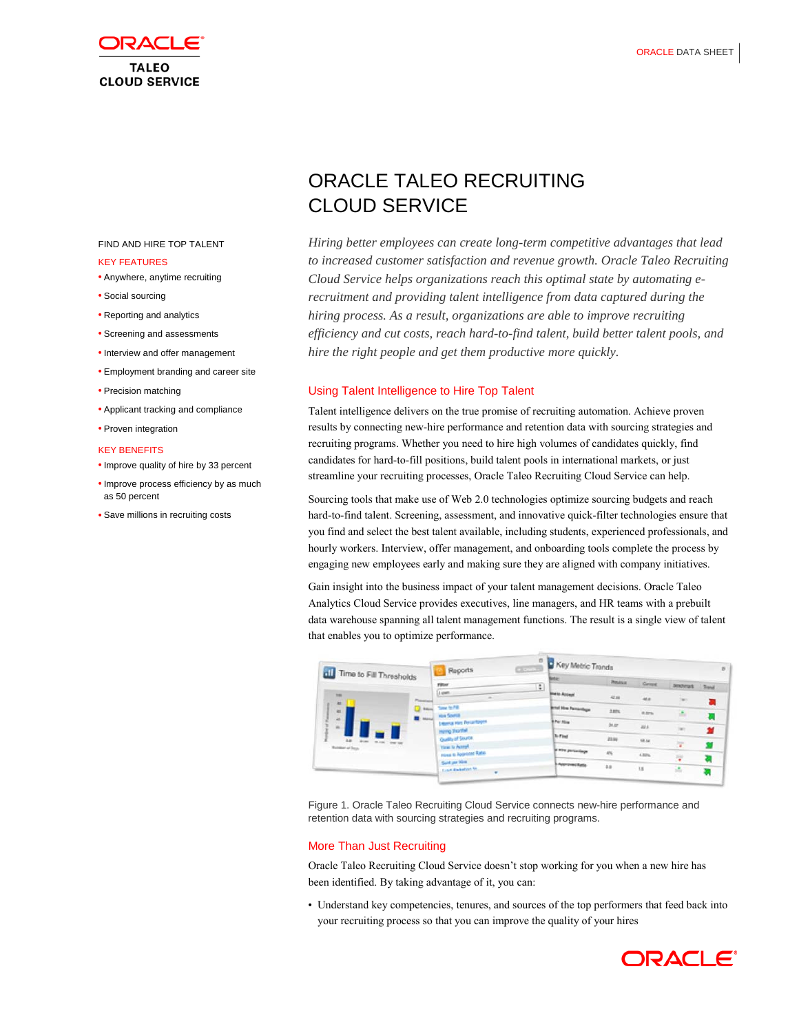

### FIND AND HIRE TOP TALENT

### KEY FEATURES

- Anywhere, anytime recruiting
- Social sourcing
- Reporting and analytics
- Screening and assessments
- Interview and offer management
- Employment branding and career site
- Precision matching
- Applicant tracking and compliance
- Proven integration

### KEY BENEFITS

- Improve quality of hire by 33 percent
- Improve process efficiency by as much as 50 percent
- Save millions in recruiting costs

# ORACLE TALEO RECRUITING CLOUD SERVICE

*Hiring better employees can create long-term competitive advantages that lead to increased customer satisfaction and revenue growth. Oracle Taleo Recruiting Cloud Service helps organizations reach this optimal state by automating erecruitment and providing talent intelligence from data captured during the hiring process. As a result, organizations are able to improve recruiting efficiency and cut costs, reach hard-to-find talent, build better talent pools, and hire the right people and get them productive more quickly.*

### Using Talent Intelligence to Hire Top Talent

Talent intelligence delivers on the true promise of recruiting automation. Achieve proven results by connecting new-hire performance and retention data with sourcing strategies and recruiting programs. Whether you need to hire high volumes of candidates quickly, find candidates for hard-to-fill positions, build talent pools in international markets, or just streamline your recruiting processes, Oracle Taleo Recruiting Cloud Service can help.

Sourcing tools that make use of Web 2.0 technologies optimize sourcing budgets and reach hard-to-find talent. Screening, assessment, and innovative quick-filter technologies ensure that you find and select the best talent available, including students, experienced professionals, and hourly workers. Interview, offer management, and onboarding tools complete the process by engaging new employees early and making sure they are aligned with company initiatives.

Gain insight into the business impact of your talent management decisions. Oracle Taleo Analytics Cloud Service provides executives, line managers, and HR teams with a prebuilt data warehouse spanning all talent management functions. The result is a single view of talent that enables you to optimize performance.

|                                                                                                                            |                       | Reports                                                                                                                                                                                            | ø<br><b>CONSULTS</b> | Key Metric Trands               |                  |           |                        |   |
|----------------------------------------------------------------------------------------------------------------------------|-----------------------|----------------------------------------------------------------------------------------------------------------------------------------------------------------------------------------------------|----------------------|---------------------------------|------------------|-----------|------------------------|---|
| di Time to Fill Thresholds                                                                                                 | <b>Pillet</b>         |                                                                                                                                                                                                    | G.                   | <b>Betan</b>                    | <b>Pittsburg</b> | General   | <b>Brickrask Trend</b> |   |
| <b>THE</b><br><b>THE R</b><br><b>ALC</b><br>■<br>$\rightarrow$<br>w.<br><b>Add \$1.00 \$1.00 for the</b><br>Number of Days | $1$ cm <sup>2</sup> . | Tone to FB<br><b>Male Scortill</b><br><b>Internal Hars Percentages</b><br>Here promise<br>Quality of Source<br>Yang to Accept<br>tions to Approved Ratio<br>Said per Him<br>Lead Marketon for<br>٠ |                      | <b>Black Account</b>            | 42.88            | 46.8      |                        | а |
|                                                                                                                            | <b>Canada</b>         |                                                                                                                                                                                                    |                      | <b>British Mira Parcentings</b> | 3.8ts            | 8.32%     |                        |   |
|                                                                                                                            |                       |                                                                                                                                                                                                    |                      | <b>EPar Mise</b>                | 54.07            | 22.5      | ×                      | 실 |
|                                                                                                                            |                       |                                                                                                                                                                                                    |                      | <b>To First</b>                 | 23.04            | 18.54     | ×                      |   |
|                                                                                                                            |                       |                                                                                                                                                                                                    |                      | of kins particulage             | 456              | $4.32\%$  | v                      |   |
|                                                                                                                            |                       |                                                                                                                                                                                                    |                      | Approvatitate                   | 4.8              | <b>KK</b> | z.                     |   |

Figure 1. Oracle Taleo Recruiting Cloud Service connects new-hire performance and retention data with sourcing strategies and recruiting programs.

### More Than Just Recruiting

Oracle Taleo Recruiting Cloud Service doesn't stop working for you when a new hire has been identified. By taking advantage of it, you can:

• Understand key competencies, tenures, and sources of the top performers that feed back into your recruiting process so that you can improve the quality of your hires

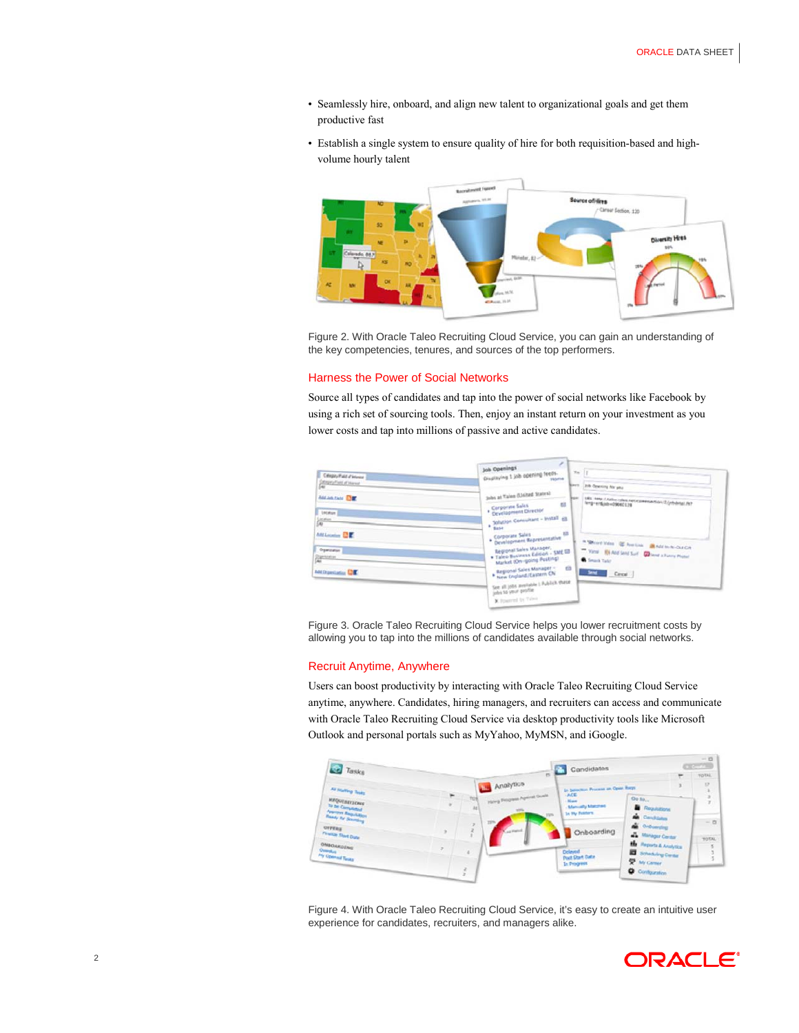- Seamlessly hire, onboard, and align new talent to organizational goals and get them productive fast
- Establish a single system to ensure quality of hire for both requisition-based and highvolume hourly talent



Figure 2. With Oracle Taleo Recruiting Cloud Service, you can gain an understanding of the key competencies, tenures, and sources of the top performers.

### Harness the Power of Social Networks

Source all types of candidates and tap into the power of social networks like Facebook by using a rich set of sourcing tools. Then, enjoy an instant return on your investment as you lower costs and tap into millions of passive and active candidates.



Figure 3. Oracle Taleo Recruiting Cloud Service helps you lower recruitment costs by allowing you to tap into the millions of candidates available through social networks.

# Recruit Anytime, Anywhere

Users can boost productivity by interacting with Oracle Taleo Recruiting Cloud Service anytime, anywhere. Candidates, hiring managers, and recruiters can access and communicate with Oracle Taleo Recruiting Cloud Service via desktop productivity tools like Microsoft Outlook and personal portals such as MyYahoo, MyMSN, and iGoogle.



Figure 4. With Oracle Taleo Recruiting Cloud Service, it's easy to create an intuitive user experience for candidates, recruiters, and managers alike.

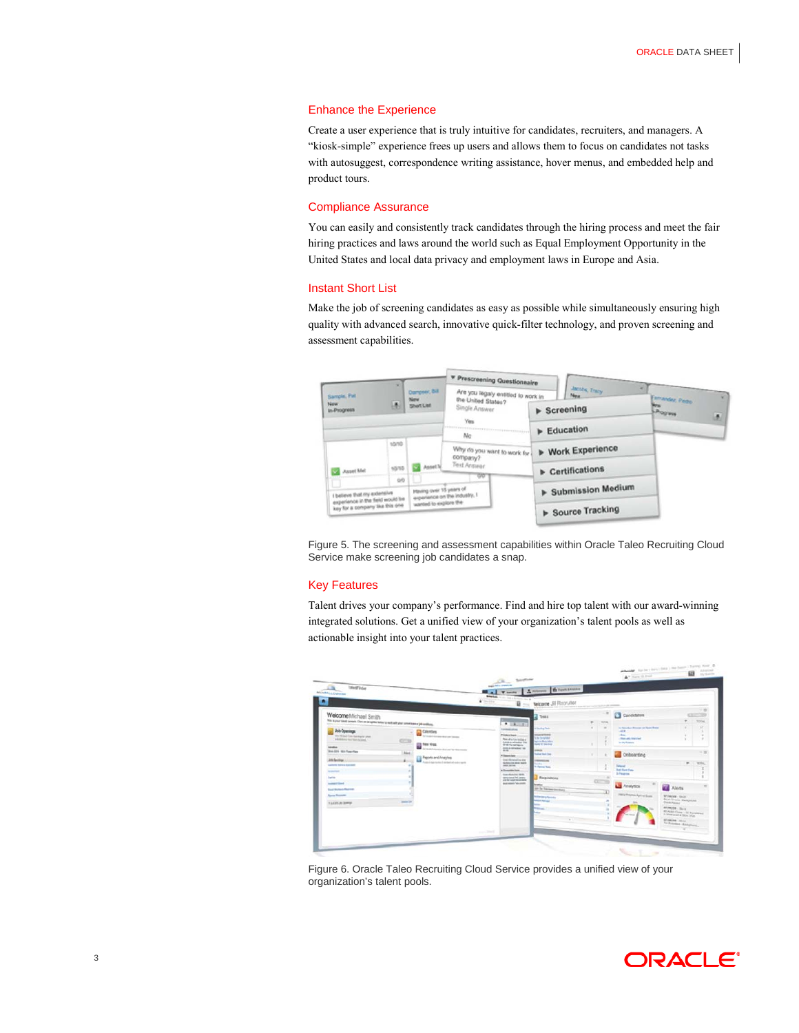### Enhance the Experience

Create a user experience that is truly intuitive for candidates, recruiters, and managers. A "kiosk-simple" experience frees up users and allows them to focus on candidates not tasks with autosuggest, correspondence writing assistance, hover menus, and embedded help and product tours.

# Compliance Assurance

You can easily and consistently track candidates through the hiring process and meet the fair hiring practices and laws around the world such as Equal Employment Opportunity in the United States and local data privacy and employment laws in Europe and Asia.

# Instant Short List

Make the job of screening candidates as easy as possible while simultaneously ensuring high quality with advanced search, innovative quick-filter technology, and proven screening and assessment capabilities.



Figure 5. The screening and assessment capabilities within Oracle Taleo Recruiting Cloud Service make screening job candidates a snap.

# Key Features

Talent drives your company's performance. Find and hire top talent with our award-winning integrated solutions. Get a unified view of your organization's talent pools as well as actionable insight into your talent practices.



Figure 6. Oracle Taleo Recruiting Cloud Service provides a unified view of your organization's talent pools.